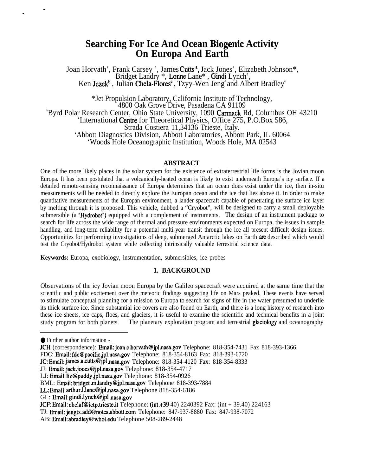# **Searching For Ice And Ocean Biogenic Activity On Europa And Earth**

Joan Horvath', Frank Carsey ', James Cutts<sup>\*</sup>, Jack Jones', Elizabeth Johnson<sup>\*</sup>, Bridget Landry \*, Lonne Lane\* , Gindi Lynch', Ken Jezek<sup>b</sup>, Julian Chela-Flores<sup>c</sup>, Tzyy-Wen Jeng<sup>d</sup> and Albert Bradley<sup>e</sup>

\*Jet Propulsion Laboratory, California Institute of Technology, 4800 Oak Grove Drive, Pasadena CA 91109 <sup>b</sup>Byrd Polar Research Center, Ohio State University, 1090 Carmack Rd, Columbus OH 43210 'International Centre for Theoretical Physics, Office 275, P.O.Box 586, Strada Costiera 11,34136 Trieste, Italy. 'Abbott Diagnostics Division, Abbott Laboratories, Abbott Park, IL 60064 'Woods Hole Oceanographic Institution, Woods Hole, MA 02543

# **ABSTRACT**

One of the more likely places in the solar system for the existence of extraterrestrial life forms is the Jovian moon Europa. It has been postulated that a volcanically-heated ocean is likely to exist underneath Europa's icy surface. If a detailed remote-sensing reconnaissance of Europa determines that an ocean does exist under the ice, then in-situ measurements will be needed to directly explore the Europan ocean and the ice that lies above it. In order to make quantitative measurements of the Europan environment, a lander spacecraft capable of penetrating the surface ice layer by melting through it is proposed. This vehicle, dubbed a "Cryobot", will be designed to carry a small deployable submersible (a "Hydrobot") equipped with a complement of instruments. The design of an instrument package to search for life across the wide range of thermal and pressure environments expected on Europa, the issues in sample handling, and long-term reliability for a potential multi-year transit through the ice all present difficult design issues. Opportunities for performing investigations of deep, submerged Antarctic lakes on Earth are described which would test the Cryobot/Hydrobot system while collecting intrinsically valuable terrestrial science data.

**Keywords:** Europa, exobiology, instrumentation, submersibles, ice probes

# **1. BACKGROUND**

Observations of the icy Jovian moon Europa by the Galileo spacecraft were acquired at the same time that the scientific and public excitement over the meteoric findings suggesting life on Mars peaked. These events have served to stimulate conceptual planning for a mission to Europa to search for signs of life in the water presumed to underlie its thick surface ice. Since substantial ice covers are also found on Earth, and there is a long history of research into these ice sheets, ice caps, floes, and glaciers, it is useful to examine the scientific and technical benefits in a joint study program for both planets. The planetary exploration program and terrestrial glaciology and oceanography

<sup>●</sup> Further author information -

JCH (correspondence): Email: joan.c.horvath@jpl.nasa.gov Telephone: 818-354-7431 Fax 818-393-1366

FDC: Email: fdc@pacific.jpl,nasa.gov Telephone: 818-354-8163 Fax: 818-393-6720

JC: Email: james.a.cutts@jpl.nasa.gov Telephone:  $818-354-4120$  Fax:  $818-354-8333$ 

JJ: Email: jack.jones@jpLnasa.gov Telephone: 818-354-4717

LJ: Email: liz@puddy.jpl.nasa.gov Telephone: 818-354-0926

BML: Email: bridget .m.landry@jpl.nasa.gov Telephone 818-393-7884

LL: Email: arthur.l.lane@jpl.nasa.gov Telephone 818-354-6186

GL: Email: gindi.lynch@jpl .nasa.gov

JCF: Email: chelaf@ictp.trieste.it Telephone:  $(int.+3940)$  2240392 Fax:  $(int + 39.40)$  224163

TJ: Email: jengtx.add@notes.abbott.com Telephone: 847-937-8880 Fax: 847-938-7072

AB: Email: abradley@ whoi.edu Telephone 508-289-2448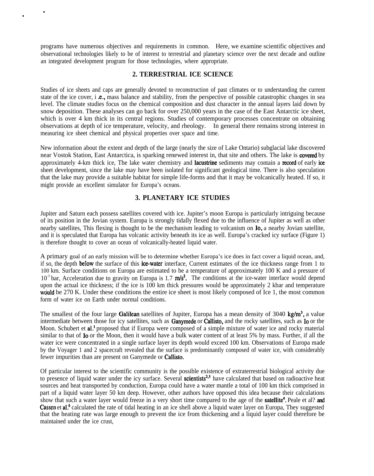programs have numerous objectives and requirements in common. Here, we examine scientific objectives and observational technologies likely to be of interest to terrestrial and planetary science over the next decade and outline an integrated development program for those technologies, where appropriate.

.

.

# **2. TERRESTRIAL ICE SCIENCE**

Studies of ice sheets and caps are generally devoted to reconstruction of past climates or to understanding the current state of the ice cover, i.e., mass balance and stability, from the perspective of possible catastrophic changes in sea level. The climate studies focus on the chemical composition and dust character in the annual layers laid down by snow deposition. These analyses can go back for over 250,000 years in the case of the East Antarctic ice sheet, which is over 4 km thick in its central regions. Studies of contemporary processes concentrate on obtaining observations at depth of ice temperature, velocity, and rheology. In general there remains strong interest in measuring ice sheet chemical and physical properties over space and time.

New information about the extent and depth of the large (nearly the size of Lake Ontario) subglacial lake discovered near Vostok Station, East Antarctica, is sparking renewed interest in, that site and others. The lake is covered by approximately 4-km thick ice, The lake water chemistry and lacustrine sediments may contain a record of early ice sheet development, since the lake may have been isolated for significant geological time. There is also speculation that the lake may provide a suitable habitat for simple life-forms and that it may be volcanically heated. If so, it might provide an excellent simulator for Europa's oceans.

# **3. PLANETARY ICE STUDIES**

Jupiter and Saturn each possess satellites covered with ice. Jupiter's moon Europa is particularly intriguing because of its position in the Jovian system. Europa is strongly tidally flexed due to the influence of Jupiter as well as other nearby satellites, This flexing is thought to be the mechanism leading to volcanism on Io, a nearby Jovian satellite, and it is speculated that Europa has volcanic activity beneath its ice as well. Europa's cracked icy surface (Figure 1) is therefore thought to cover an ocean of volcanically-heated liquid water.

A primary goal of an early mission will be to determine whether Europa's ice does in fact cover a liquid ocean, and, if so, the depth below the surface of this ice-water interface, Current estimates of the ice thickness range from 1 to 100 km. Surface conditions on Europa are estimated to be a temperature of approximately 100 K and a pressure of  $10<sup>11</sup>$  bar, Acceleration due to gravity on Europa is 1.7  $m/s<sup>2</sup>$ . The conditions at the ice-water interface would depend upon the actual ice thickness; if the ice is 100 km thick pressures would be approximately 2 kbar and temperature would be 270 K. Under these conditions the entire ice sheet is most likely composed of Ice 1, the most common form of water ice on Earth under normal conditions.

The smallest of the four large Galilean satellites of Jupiter, Europa has a mean density of 3040 kg/m<sup>3</sup>, a value intermediate between those for icy satellites, such as Ganymede or Callisto, and the rocky satellites, such as Io or the Moon. Schubert et al.<sup>1</sup> proposed that if Europa were composed of a simple mixture of water ice and rocky material similar to that of Io or the Moon, then it would have a bulk water content of at least 5% by mass. Further, if all the water ice were concentrated in a single surface layer its depth would exceed 100 km. Observations of Europa made by the Voyager 1 and 2 spacecraft revealed that the surface is predominantly composed of water ice, with considerably fewer impurities than are present on Ganymede or Callisto.

Of particular interest to the scientific community is the possible existence of extraterrestrial biological activity due to presence of liquid water under the icy surface. Several scientists<sup>2,3</sup> have calculated that based on radioactive heat sources and heat transported by conduction, Europa could have a water mantle a total of 100 km thick comprised in part of a liquid water layer 50 km deep. However, other authors have opposed this idea because their calculations show that such a water layer would freeze in a very short time compared to the age of the **satellite<sup>4</sup>**. Peale et al? **and Cassen** et al.<sup>6</sup> calculated the rate of tidal heating in an ice shell above a liquid water layer on Europa, They suggested that the heating rate was large enough to prevent the ice from thickening and a liquid layer could therefore be maintained under the ice crust,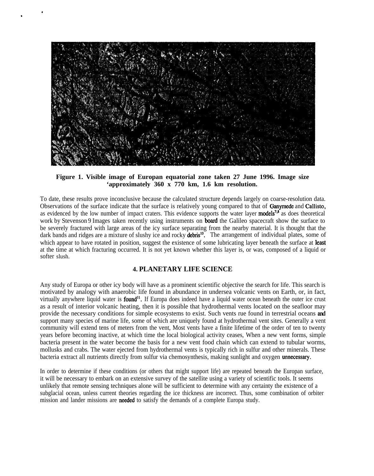

.

.

**Figure 1. Visible image of Europan equatorial zone taken 27 June 1996. Image size 'approximately 360 x 770 km, 1.6 km resolution.**

To date, these results prove inconclusive because the calculated structure depends largely on coarse-resolution data. Observations of the surface indicate that the surface is relatively young compared to that of Ganymede and Callisto, as evidenced by the low number of impact craters. This evidence supports the water layer **models<sup>7,8</sup>** as does theoretical work by Stevenson 9 Images taken recently using instruments on **board** the Galileo spacecraft show the surface to be severely fractured with large areas of the icy surface separating from the nearby material. It is thought that the dark bands and ridges are a mixture of slushy ice and rocky debris<sup>10</sup>. The arrangement of individual plates, some of which appear to have rotated in position, suggest the existence of some lubricating layer beneath the surface at least at the time at which fracturing occurred. It is not yet known whether this layer is, or was, composed of a liquid or softer slush.

### **4. PLANETARY LIFE SCIENCE**

Any study of Europa or other icy body will have as a prominent scientific objective the search for life. This search is motivated by analogy with anaerobic life found in abundance in undersea volcanic vents on Earth, or, in fact, virtually anywhere liquid water is **found**<sup>11</sup>. If Europa does indeed have a liquid water ocean beneath the outer ice crust as a result of interior volcanic heating, then it is possible that hydrothermal vents located on the seafloor may provide the necessary conditions for simple ecosystems to exist. Such vents rue found in terrestrial oceans and support many species of marine life, some of which are uniquely found at hydrothermal vent sites. Generally a vent community will extend tens of meters from the vent, Most vents have a finite lifetime of the order of ten to twenty years before becoming inactive, at which time the local biological activity ceases, When a new vent forms, simple bacteria present in the water become the basis for a new vent food chain which can extend to tubular worms, mollusks and crabs. The water ejected from hydrothermal vents is typically rich in sulfur and other minerals. These bacteria extract all nutrients directly from sulfur via chemosynthesis, making sunlight and oxygen unnecessary.

In order to determine if these conditions (or others that might support life) are repeated beneath the Europan surface, it will be necessary to embark on an extensive survey of the satellite using a variety of scientific tools. It seems unlikely that remote sensing techniques alone will be sufficient to determine with any certainty the existence of a subglacial ocean, unless current theories regarding the ice thickness are incorrect. Thus, some combination of orbiter mission and lander missions are neded to satisfy the demands of a complete Europa study.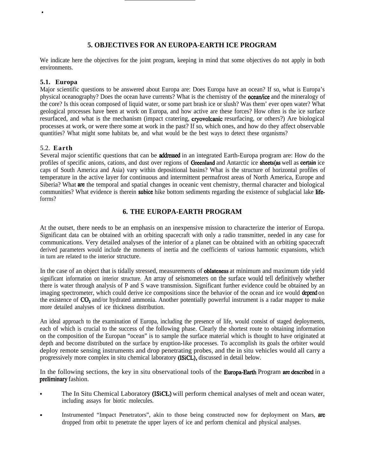# **5. OBJECTIVES FOR AN EUROPA-EARTH ICE PROGRAM**

We indicate here the objectives for the joint program, keeping in mind that some objectives do not apply in both environments.

# **5.1. Europa**

.

Major scientific questions to be answered about Europa are: Does Europa have an ocean? If so, what is Europa's physical oceanography? Does the ocean have currents? What is the chemistry of the **ocean/ice** and the mineralogy of the core? Is this ocean composed of liquid water, or some part brash ice or slush? Was them' ever open water? What geological processes have been at work on Europa, and how active are these forces? How often is the ice surface resurfaced, and what is the mechanism (impact cratering, cryovolcanic resurfacing, or others?) Are biological processes at work, or were there some at work in the past? If so, which ones, and how do they affect observable quantities? What might some habitats be, and what would be the best ways to detect these organisms?

# 5.2. **Earth**

Several major scientific questions that can be **addressed** in an integrated Earth-Europa program are: How do the profiles of specific anions, cations, and dust over regions of Greenland and Antarctic ice sheets(as well as certain ice caps of South America and Asia) vary within depositional basins? What is the structure of horizontal profiles of temperature in the active layer for continuous and intermittent permafrost areas of North America, Europe and Siberia? What are the temporal and spatial changes in oceanic vent chemistry, thermal character and biological communities? What evidence is therein subice hike bottom sediments regarding the existence of subglacial lake lifeforrns?

# **6. THE EUROPA-EARTH PROGRAM**

At the outset, there needs to be an emphasis on an inexpensive mission to characterize the interior of Europa. Significant data can be obtained with an orbiting spacecraft with only a radio transmitter, needed in any case for communications. Very detailed analyses of the interior of a planet can be obtained with an orbiting spacecraft derived parameters would include the moments of inertia and the coefficients of various harmonic expansions, which in turn are related to the interior structure.

In the case of an object that is tidally stressed, measurements of **oblateness** at minimum and maximum tide yield significant information on interior structure. An array of seismometers on the surface would tell definitively whether there is water through analysis of P and S wave transmission. Significant further evidence could be obtained by an imaging spectrometer, which could derive ice compositions since the behavior of the ocean and ice would depend on the existence of **CO**, and/or hydrated ammonia. Another potentially powerful instrument is a radar mapper to make more detailed analyses of ice thickness distribution.

An ideal approach to the examination of Europa, including the presence of life, would consist of staged deployments, each of which is crucial to the success of the following phase. Clearly the shortest route to obtaining information on the composition of the Europan "ocean" is to sample the surface material which is thought to have originated at depth and become distributed on the surface by eruption-like processes. To accomplish its goals the orbiter would deploy remote sensing instruments and drop penetrating probes, and the in situ vehicles would all carry a progressively more complex in situ chemical laboratory (ISiCL), discussed in detail below.

In the following sections, the key in situ observational tools of the Europa-Earth Program are described in a preliminary fashion.

- The In Situ Chemical Laboratory (ISiCL) will perform chemical analyses of melt and ocean water, including assays for biotic molecules.
- Instrumented "Impact Penetrators", akin to those being constructed now for deployment on Mars, are dropped from orbit to penetrate the upper layers of ice and perform chemical and physical analyses.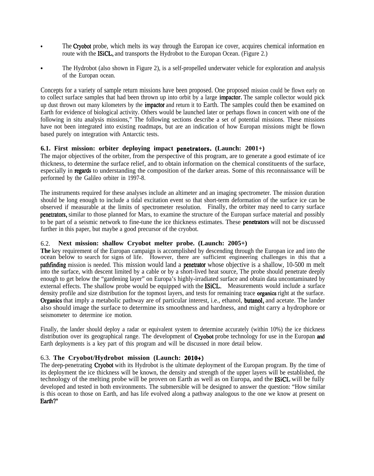- The Cryobot probe, which melts its way through the Europan ice cover, acquires chemical information en route with the **ISiCL**, and transports the Hydrobot to the Europan Ocean. (Figure 2.)
- The Hydrobot (also shown in Figure 2), is a self-propelled underwater vehicle for exploration and analysis of the Europan ocean.

Concepts for a variety of sample return missions have been proposed. One proposed mission could be flown early on to collect surface samples that had been thrown up into orbit by a large **impactor**. The sample collector would pick up dust thrown out many kilometers by the impactor and return it to Earth. The samples could then be examined on Earth for evidence of biological activity. Others would be launched later or perhaps flown in concert with one of the following in situ analysis missions," The following sections describe a set of potential missions. These missions have not been integrated into existing roadmaps, but are an indication of how Europan missions might be flown based purely on integration with Antarctic tests.

# **6.1. First mission: orbiter deploying impact penetrators. (Launch: 2001+)**

The major objectives of the orbiter, from the perspective of this program, are to generate a good estimate of ice thickness, to determine the surface relief, and to obtain information on the chemical constituents of the surface, especially in regards to understanding the composition of the darker areas. Some of this reconnaissance will be performed by the Galileo orbiter in 1997-8.

The instruments required for these analyses include an altimeter and an imaging spectrometer. The mission duration should be long enough to include a tidal excitation event so that short-term deformation of the surface ice can be observed if measurable at the limits of spectrometer resolution. Finally, the orbiter may need to carry surface penetrators, similar to those planned for Mars, to examine the structure of the Europan surface material and possibly to be part of a seismic network to fine-tune the ice thickness estimates. These penetrators will not be discussed further in this paper, but maybe a good precursor of the cryobot.

### 6.2. **Next mission: shallow Cryobot melter probe. (Launch: 2005+)**

**The** key requirement of the Europan campaign is accomplished by descending through the Europan ice and into the ocean below to search for signs of life. However, there are sufficient engineering challenges in this that a pathfinding mission is needed. This mission would land a penetrator whose objective is a shallow, 10-500 m melt into the surface, with descent limited by a cable or by a short-lived heat source, The probe should penetrate deeply enough to get below the "gardening layer" on Europa's highly-irradiated surface and obtain data uncontaminated by external effects. The shallow probe would be equipped with the ISiCL. Measurements would include a surface density profile and size distribution for the topmost layers, and tests for remaining trace **organics** right at the surface. Organics that imply a metabolic pathway are of particular interest, i.e., ethanol, butanol, and acetate. The lander also should image the surface to determine its smoothness and hardness, and might carry a hydrophore or seismometer to determine ice motion.

Finally, the lander should deploy a radar or equivalent system to determine accurately (within 10%) the ice thickness distribution over its geographical range. The development of Cryobot probe technology for use in the Europan and Earth deployments is a key part of this program and will be discussed in more detail below.

# 6.3. **The Cryobot/Hydrobot mission (Launch: 2010+)**

The deep-penetrating Cryobot with its Hydrobot is the ultimate deployment of the Europan program. By the time of its deployment the ice thickness will be known, the density and strength of the upper layers will be established, the technology of the melting probe will be proven on Earth as well as on Europa, and the ISiCL will be fully developed and tested in both environments. The submersible will be designed to answer the question: "How similar is this ocean to those on Earth, and has life evolved along a pathway analogous to the one we know at present on Earth?"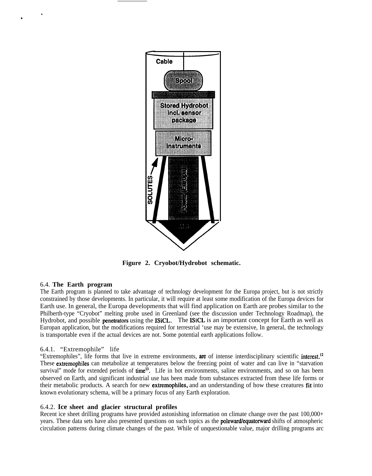

**Figure 2. Cryobot/Hydrobot schematic.**

# 6.4. **The Earth program**

.

.

The Earth program is planned to take advantage of technology development for the Europa project, but is not strictly constrained by those developments. In particular, it will require at least some modification of the Europa devices for Earth use. In general, the Europa developments that will find application on Earth are probes similar to the Philberth-type "Cryobot" melting probe used in Greenland (see the discussion under Technology Roadmap), the Hydrobot, and possible penetrators using the ISiCL. The ISiCL is an important concept for Earth as well as Europan application, but the modifications required for terrestrial 'use may be extensive, In general, the technology is transportable even if the actual devices are not. Some potential earth applications follow.

#### 6.4.1. "Extremophile" life

"Extremophiles", life forms that live in extreme environments, are of intense interdisciplinary scientific interest.<sup>12</sup> These extremophiles can metabolize at temperatures below the freezing point of water and can live in "starvation survival" mode for extended periods of time<sup>13</sup>. Life in hot environments, saline environments, and so on has been observed on Earth, and significant industrial use has been made from substances extracted from these life forms or their metabolic products. A search for new extremophiles, and an understanding of how these creatures fit into known evolutionary schema, will be a primary focus of any Earth exploration.

#### 6.4.2. **Ice sheet and glacier structural profiles**

Recent ice sheet drilling programs have provided astonishing information on climate change over the past 100,000+ years. These data sets have also presented questions on such topics as the **poleward/equatorward** shifts of atmospheric circulation patterns during climate changes of the past. While of unquestionable value, major drilling programs arc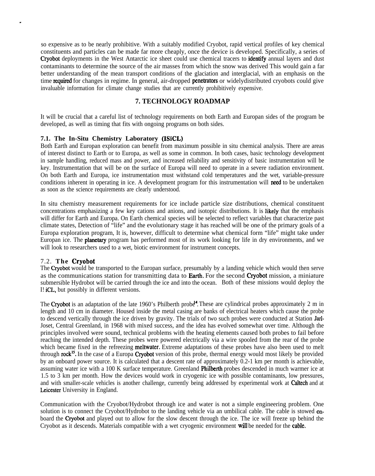so expensive as to be nearly prohibitive. With a suitably modified Cryobot, rapid vertical profiles of key chemical constituents and particles can be made far more cheaply, once the device is developed. Specifically, a series of Cryobot deployments in the West Antarctic ice sheet could use chemical tracers to identify annual layers and dust contaminants to determine the source of the air masses from which the snow was derived This would gain a far better understanding of the mean transport conditions of the glaciation and interglacial, with an emphasis on the time required for changes in regime. In general, air-dropped penetrators or widely distributed cryobots could give invaluable information for climate change studies that are currently prohibitively expensive.

# **7. TECHNOLOGY ROADMAP**

It will be crucial that a careful list of technology requirements on both Earth and Europan sides of the program be developed, as well as timing that fits with ongoing programs on both sides.

#### **7.1. The In-Situ Chemistry Laboratory (ISiCL)**

Both Earth and Europan exploration can benefit from maximum possible in situ chemical analysis. There are areas of interest distinct to Earth or to Europa, as well as some in common. In both cases, basic technology development in sample handling, reduced mass and power, and increased reliability and sensitivity of basic instrumentation will be key. Instrumentation that will be on the surface of Europa will need to operate in a severe radiation environment. On both Earth and Europa, ice instrumentation must withstand cold temperatures and the wet, variable-pressure conditions inherent in operating in ice. A development program for this instrumentation will need to be undertaken as soon as the science requirements are clearly understood.

In situ chemistry measurement requirements for ice include particle size distributions, chemical constituent concentrations emphasizing a few key cations and anions, and isotopic distributions. It is likely that the emphasis will differ for Earth and Europa. On Earth chemical species will be selected to reflect variables that characterize past climate states, Detection of "life" and the evolutionary stage it has reached will be one of the primary goals of a Europa exploration program, It is, however, difficult to determine what chemical form "life" might take under Europan ice. The planetary program has performed most of its work looking for life in dry environments, and we will look to researchers used to a wet, biotic environment for instrument concepts.

#### 7.2. **The Cryobot**

.

The Cryobot would be transported to the Europan surface, presumably by a landing vehicle which would then serve as the communications station for transmitting data to Earth, For the second Cryobot mission, a miniature submersible Hydrobot will be carried through the ice and into the ocean. Both of these missions would deploy the I! **iCL**, but possibly in different versions.

The Cryobot is an adaptation of the late 1960's Philberth probe<sup>4</sup>. These are cylindrical probes approximately 2 m in length and 10 cm in diameter. Housed inside the metal casing are banks of electrical heaters which cause the probe to descend vertically through the ice driven by gravity. The trials of two such probes were conducted at Station Jarl-Joset, Central Greenland, in 1968 with mixed success, and the idea has evolved somewhat over time. Although the principles involved were sound, technical problems with the heating elements caused both probes to fail before reaching the intended depth. These probes were powered electrically via a wire spooled from the rear of the probe which became fixed in the refreezing **meltwater**. Extreme adaptations of these probes have also been used to melt through rock<sup>15</sup>. In the case of a Europa Cryobot version of this probe, thermal energy would most likely be provided by an onboard power source. It is calculated that a descent rate of approximately 0.2-1 km per month is achievable, assuming water ice with a 100 K surface temperature. Greenland Philberth probes descended in much warmer ice at 1.5 to 3 km per month. How the devices would work in cryogenic ice with possible contaminants, low pressures, and with smaller-scale vehicles is another challenge, currently being addressed by experimental work at **Caltech** and at Leicester University in England.

Communication with the Cryobot/Hydrobot through ice and water is not a simple engineering problem. One solution is to connect the Cryobot/Hydrobot to the landing vehicle via an umbilical cable. The cable is stowed onboard the Cryobot and played out to allow for the slow descent through the ice. The ice will freeze up behind the Cryobot as it descends. Materials compatible with a wet cryogenic environment will be needed for the cable.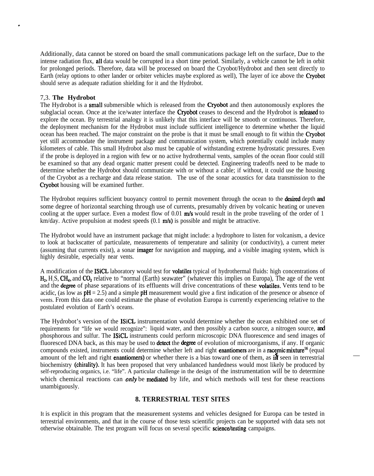Additionally, data cannot be stored on board the small communications package left on the surface, Due to the intense radiation flux, all data would be corrupted in a short time period. Similarly, a vehicle cannot be left in orbit for prolonged periods. Therefore, data will be processed on board the Cryobot/Hydrobot and then sent directly to Earth (relay options to other lander or orbiter vehicles maybe explored as well), The layer of ice above the Cryobot should serve as adequate radiation shielding for it and the Hydrobot.

#### 7,3. **The Hydrobot**

.

The Hydrobot is a small submersible which is released from the Cryobot and then autonomously explores the subglacial ocean. Once at the ice/water interface the Cryobot ceases to descend and the Hydrobot is released to explore the ocean. By terrestrial analogy it is unlikely that this interface will be smooth or continuous. Therefore, the deployment mechanism for the Hydrobot must include sufficient intelligence to determine whether the liquid ocean has been reached. The major constraint on the probe is that it must be small enough to fit within the Cryobot yet still accommodate the instrument package and communication system, which potentially could include many kilometers of cable. This small Hydrobot also must be capable of withstanding extreme hydrostatic pressures. Even if the probe is deployed in a region with few or no active hydrothermal vents, samples of the ocean floor could still be examined so that any dead organic matter present could be detected. Engineering tradeoffs need to be made to determine whether the Hydrobot should communicate with or without a cable; if without, it could use the housing of the Cryobot as a recharge and data release station. The use of the sonar acoustics for data transmission to the Cryobot housing will be examined further.

The Hydrobot requires sufficient buoyancy control to permit movement through the ocean to the desired depth and some degree of horizontal searching through use of currents, presumably driven by volcanic heating or uneven cooling at the upper surface. Even a modest flow of  $0.01$  m/s would result in the probe traveling of the order of 1 km/day. Active propulsion at modest speeds  $(0.1 \text{ m/s})$  is possible and might be attractive.

The Hydrobot would have an instrument package that might include: a hydrophore to listen for volcanism, a device to look at backscatter of particulate, measurements of temperature and salinity (or conductivity), a current meter (assuming that currents exist), a sonar imager for navigation and mapping, and a visible imaging system, which is highly desirable, especially near vents.

A modification of the ISiCL laboratory would test for volatiles typical of hydrothermal fluids: high concentrations of H<sub>2</sub>, H<sub>2</sub>S, CH<sub>4</sub>, and CO<sub>2</sub> relative to "normal (Earth) seawater" (whatever this implies on Europa), The age of the vent and the degree of phase separations of its effluents will drive concentrations of these volatiles. Vents tend to be acidic, (as low as  $pH = 2.5$ ) and a simple pH measurement would give a first indication of the presence or absence of vents. From this data one could estimate the phase of evolution Europa is currently experiencing relative to the postulated evolution of Earth's oceans.

The Hydrobot's version of the ISiCL instrumentation would determine whether the ocean exhibited one set of requirements for "life we would recognize": liquid water, and then possibly a carbon source, a nitrogen source, and phosphorous and sulfur. The ISiCL instruments could perform microscopic DNA fluorescence and send images of fluoresced DNA back, as this may be used to **detect** the **degree** of evolution of microorganisms, if any. If organic compounds existed, instruments could determine whether left and right enantiomers are in a racemic mixture<sup>16</sup> (equal amount of the left and right **enantiomers**) or whether there is a bias toward one of them, as in seen in terrestrial biochemistry (chirality). It has been proposed that very unbalanced handedness would most likely be produced by self-reproducing organics, i.e. "life". A particular challenge in the design of the instrumentation will be to determine which chemical reactions can **only** be mediated by life, and which methods will test for these reactions unambiguously.

# **8. TERRESTRIAL TEST SITES**

It is explicit in this program that the measurement systems and vehicles designed for Europa can be tested in terrestrial environments, and that in the course of those tests scientific projects can be supported with data sets not otherwise obtainable. The test program will focus on several specific **science/testing** campaigns.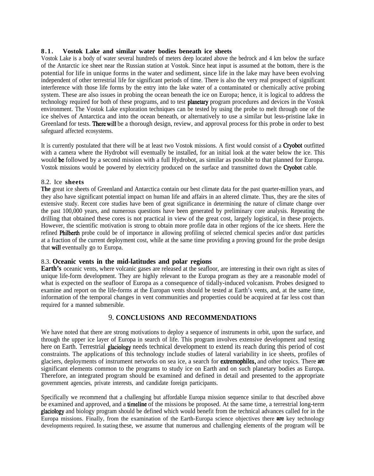### **8.1. Vostok Lake and similar water bodies beneath ice sheets**

Vostok Lake is a body of water several hundreds of meters deep located above the bedrock and 4 km below the surface of the Antarctic ice sheet near the Russian station at Vostok. Since heat input is assumed at the bottom, there is the potential for life in unique forms in the water and sediment, since life in the lake may have been evolving independent of other terrestrial life for significant periods of time. There is also the very real prospect of significant interference with those life forms by the entry into the lake water of a contaminated or chemically active probing system. These are also issues in probing the ocean beneath the ice on Europa; hence, it is logical to address the technology required for both of these programs, and to test **planetary** program procedures and devices in the Vostok environment. The Vostok Lake exploration techniques can be tested by using the probe to melt through one of the ice shelves of Antarctica and into the ocean beneath, or alternatively to use a similar but less-pristine lake in Greenland for tests. There will be a thorough design, review, and approval process for this probe in order to best safeguard affected ecosystems.

It is currently postulated that there will be at least two Vostok missions. A first would consist of a Cryobot outfitted with a camera where the Hydrobot will eventually be installed, for an initial look at the water below the ice. This would be followed by a second mission with a full Hydrobot, as similar as possible to that planned for Europa. Vostok missions would be powered by electricity produced on the surface and transmitted down the Cryobot cable.

### 8.2. Ice **sheets**

**The** great ice sheets of Greenland and Antarctica contain our best climate data for the past quarter-million years, and they also have significant potential impact on human life and affairs in an altered climate. Thus, they are the sites of extensive study. Recent core studies have been of great significance in determining the nature of climate change over the past 100,000 years, and numerous questions have been generated by preliminary core analysis. Repeating the drilling that obtained these cores is not practical in view of the great cost, largely logistical, in these projects. However, the scientific motivation is strong to obtain more profile data in other regions of the ice sheets. Here the refined Philberth probe could be of importance in allowing profiling of selected chemical species and/or dust particles at a fraction of the current deployment cost, while at the same time providing a proving ground for the probe design that will eventually go to Europa.

# 8.3. **Oceanic vents in the mid-latitudes and polar regions**

**Earth's** oceanic vents, where volcanic gases are released at the seafloor, are interesting in their own right as sites of unique life-form development. They are highly relevant to the Europa program as they are a reasonable model of what is expected on the seafloor of Europa as a consequence of tidally-induced volcanism. Probes designed to examine and report on the life-forms at the Europan vents should be tested at Earth's vents, and, at the same time, information of the temporal changes in vent communities and properties could be acquired at far less cost than required for a manned submersible.

# 9. **CONCLUSIONS AND RECOMMENDATIONS**

We have noted that there are strong motivations to deploy a sequence of instruments in orbit, upon the surface, and through the upper ice layer of Europa in search of life. This program involves extensive development and testing here on Earth. Terrestrial glaciology needs technical development to extend its reach during this period of cost constraints. The applications of this technology include studies of lateral variability in ice sheets, profiles of glaciers, deployments of instrument networks on sea ice, a search for **extremophiles**, and other topics. There are significant elements common to the programs to study ice on Earth and on such planetary bodies as Europa. Therefore, an integrated program should be examined and defined in detail and presented to the appropriate government agencies, private interests, and candidate foreign participants.

Specifically we recommend that a challenging but affordable Europa mission sequence similar to that described above be examined and approved, and a timeline of the missions be proposed. At the same time, a terrestrial long-term glaciology and biology program should be defined which would benefit from the technical advances called for in the Europa missions. Finally, from the examination of the Earth-Europa science objectives there are key technology developments required. In stating these, we assume that numerous and challenging elements of the program will be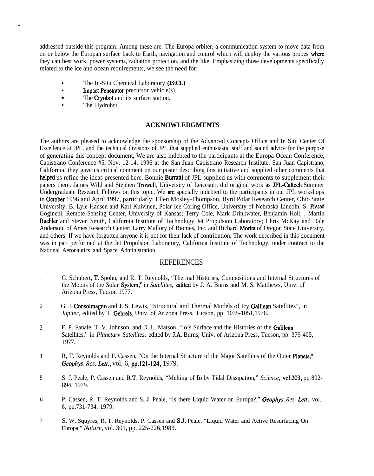addressed outside this program. Among these are: The Europa orbiter, a communication system to move data from on or below the Europan surface back to Earth, navigation and control which will deploy the various probes whae they can best work, power systems, radiation protection, and the like, Emphasizing those developments specifically related to the ice and ocean requirements, we see the need for:

- The In-Situ Chemical Laboratory (ISiCL)
- Impact-Penetrator precursor vehicle(s).
- The Cryobot and its surface station.
- The Hydrobot.

.

# **ACKNOWLEDGMENTS**

The authors are pleased to acknowledge the sponsorship of the Advanced Concepts Office and In Situ Center Of Excellence at JPL, and the technical divisions of JPL that supplied enthusiastic staff and sound advice for the purpose of generating this concept document, We are also indebted to the participants at the Europa Ocean Conference, Capistrano Conference #5, Nov. 12-14, 1996 at the San Juan Capistrano Research Institute, San Juan Capistrano, California; they gave us critical comment on our poster describing this initiative and supplied other comments that helped us refine the ideas presented here. Bonnie Burratti of JPL supplied us with comments to supplement their papers there. James Wild and Stephen Trowell, University of Leicester, did original work as JPL-Caltech Summer Undergraduate Research Fellows on this topic. We are specially indebted to the participants in our JPL workshops in October 1996 and April 1997, particularly: Ellen Mosley-Thompson, Byrd Polar Research Center, Ohio State University; B. Lyle Hansen and Karl Kuivinen, Polar Ice Coring Office, University of Nebraska Lincoln; S. Prasad Gogineni, Remote Sensing Center, University of Kansas; Terry Cole, Mark Drinkwater, Benjamin Holt, , Martin Buehler and Steven Smith, California Institute of Technology Jet Propulsion Laboratory; Chris McKay and Dale Anderson, of Ames Research Center; Larry Mallory of Biomes, Inc. and Richard Morita of Oregon State University, and others. If we have forgotten anyone it is not for their lack of contribution. The work described in this document was in part performed at the Jet Propulsion Laboratory, California Institute of Technology, under contract to the National Aeronautics and Space Administration.

# REFERENCES

- 1 G. Schubert, T, Spohn, and R. T. Reynolds, "Thermal Histories, Compositions and Internal Structures of the Moons of the Solar System," in *Satellites*, edited by J. A. Burns and M. S. Matthews, Univ. of Arizona Press, Tucson 1977.
- 2 G. J. Consolmagno and J. S. Lewis, "Structural and Thermal Models of Icy Galilean Satellites", in *Jupiter,* edited by T. Gehrels, Univ. of Arizona Press, Tucson, pp. 1035-1051,1976.
- 3 F. P. Fanale, T. V. Johnson, and D. L. Matson, "Io's Surface and the Histories of the Galilean Satellites," in *Planetary Satellites,* edited by J.A. Burns, Univ. of Arizona Press, Tucson, pp. 379-405, 1977.
- 4 R, T. Reynolds and P. Cassen, "On the Internal Structure of the Major Satellites of the Outer Planets; *Geophys. Res. Lett.,* vol. 6, pp.121-124, 1979.
- 5 S. J. Peale, P. Cassen and R,T. Reynolds, "Melting of Io by Tidal Dissipation," *Science, V01203,* pp 892- 894, 1979.
- 6 P. Cassen, R. T. Reynolds and S. J. Peale, "Is there Liquid Water on Europa?," **Geophys.** Res. Lett., vol. 6, pp.731-734, 1979.
- 7 S. W. Squyres, R. T. Reynolds, P. Cassen and S.J. Peale, "Liquid Water and Active Resurfacing On Europa," *Nature,* vol. 301, pp. 225-226,1983.